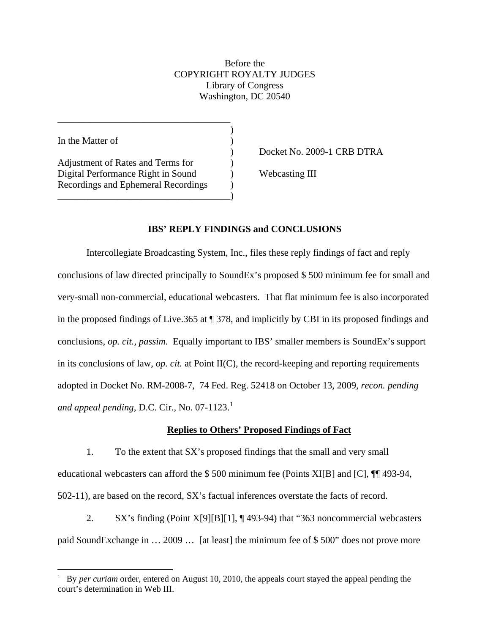# Before the COPYRIGHT ROYALTY JUDGES Library of Congress Washington, DC 20540

In the Matter of

 $\overline{a}$ 

Adjustment of Rates and Terms for  $\qquad \qquad$  ) Digital Performance Right in Sound (a) Webcasting III Recordings and Ephemeral Recordings ) \_\_\_\_\_\_\_\_\_\_\_\_\_\_\_\_\_\_\_\_\_\_\_\_\_\_\_\_\_\_\_\_\_\_\_\_)

\_\_\_\_\_\_\_\_\_\_\_\_\_\_\_\_\_\_\_\_\_\_\_\_\_\_\_\_\_\_\_\_\_\_\_\_  $)$ 

) Docket No. 2009-1 CRB DTRA

## **IBS' REPLY FINDINGS and CONCLUSIONS**

Intercollegiate Broadcasting System, Inc., files these reply findings of fact and reply conclusions of law directed principally to SoundEx's proposed \$ 500 minimum fee for small and very-small non-commercial, educational webcasters. That flat minimum fee is also incorporated in the proposed findings of Live.365 at ¶ 378, and implicitly by CBI in its proposed findings and conclusions, *op. cit., passim.* Equally important to IBS' smaller members is SoundEx's support in its conclusions of law, *op. cit.* at Point II(C), the record-keeping and reporting requirements adopted in Docket No. RM-2008-7, 74 Fed. Reg. 52418 on October 13, 2009, *recon. pending and appeal pending, D.C. Cir., No.*  $07-1123$  $07-1123$  $07-1123$ <sup>1</sup>

## **Replies to Others' Proposed Findings of Fact**

 1. To the extent that SX's proposed findings that the small and very small educational webcasters can afford the \$ 500 minimum fee (Points XI[B] and [C], ¶¶ 493-94, 502-11), are based on the record, SX's factual inferences overstate the facts of record.

2. SX's finding (Point X[9][B][1], ¶ 493-94) that "363 noncommercial webcasters paid SoundExchange in … 2009 … [at least] the minimum fee of \$ 500" does not prove more

<span id="page-0-0"></span><sup>1</sup> By *per curiam* order, entered on August 10, 2010, the appeals court stayed the appeal pending the court's determination in Web III.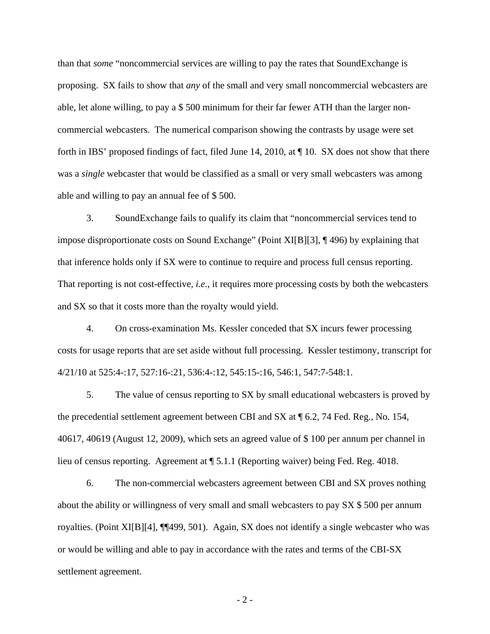than that *some* "noncommercial services are willing to pay the rates that SoundExchange is proposing. SX fails to show that *any* of the small and very small noncommercial webcasters are able, let alone willing, to pay a \$ 500 minimum for their far fewer ATH than the larger noncommercial webcasters. The numerical comparison showing the contrasts by usage were set forth in IBS' proposed findings of fact, filed June 14, 2010, at ¶ 10. SX does not show that there was a *single* webcaster that would be classified as a small or very small webcasters was among able and willing to pay an annual fee of \$ 500.

 3. SoundExchange fails to qualify its claim that "noncommercial services tend to impose disproportionate costs on Sound Exchange" (Point XI[B][3], ¶ 496) by explaining that that inference holds only if SX were to continue to require and process full census reporting. That reporting is not cost-effective, *i.e.,* it requires more processing costs by both the webcasters and SX so that it costs more than the royalty would yield.

 4. On cross-examination Ms. Kessler conceded that SX incurs fewer processing costs for usage reports that are set aside without full processing. Kessler testimony, transcript for 4/21/10 at 525:4-:17, 527:16-:21, 536:4-:12, 545:15-:16, 546:1, 547:7-548:1.

 5. The value of census reporting to SX by small educational webcasters is proved by the precedential settlement agreement between CBI and SX at ¶ 6.2, 74 Fed. Reg., No. 154, 40617, 40619 (August 12, 2009), which sets an agreed value of \$ 100 per annum per channel in lieu of census reporting. Agreement at ¶ 5.1.1 (Reporting waiver) being Fed. Reg. 4018.

6. The non-commercial webcasters agreement between CBI and SX proves nothing about the ability or willingness of very small and small webcasters to pay SX \$ 500 per annum royalties. (Point XI[B][4], ¶¶499, 501). Again, SX does not identify a single webcaster who was or would be willing and able to pay in accordance with the rates and terms of the CBI-SX settlement agreement.

- 2 -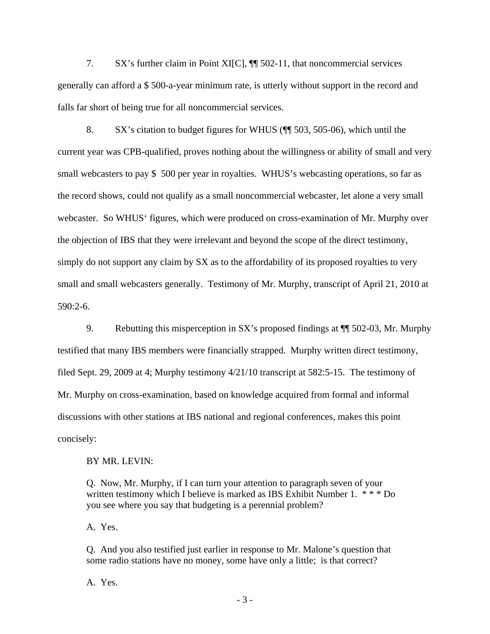7. SX's further claim in Point XI[C], ¶¶ 502-11, that noncommercial services generally can afford a \$ 500-a-year minimum rate, is utterly without support in the record and falls far short of being true for all noncommercial services.

 8. SX's citation to budget figures for WHUS (¶¶ 503, 505-06), which until the current year was CPB-qualified, proves nothing about the willingness or ability of small and very small webcasters to pay \$ 500 per year in royalties. WHUS's webcasting operations, so far as the record shows, could not qualify as a small noncommercial webcaster, let alone a very small webcaster. So WHUS' figures, which were produced on cross-examination of Mr. Murphy over the objection of IBS that they were irrelevant and beyond the scope of the direct testimony, simply do not support any claim by SX as to the affordability of its proposed royalties to very small and small webcasters generally. Testimony of Mr. Murphy, transcript of April 21, 2010 at 590:2-6.

 9. Rebutting this misperception in SX's proposed findings at ¶¶ 502-03, Mr. Murphy testified that many IBS members were financially strapped. Murphy written direct testimony, filed Sept. 29, 2009 at 4; Murphy testimony 4/21/10 transcript at 582:5-15. The testimony of Mr. Murphy on cross-examination, based on knowledge acquired from formal and informal discussions with other stations at IBS national and regional conferences, makes this point concisely:

#### BY MR. LEVIN:

Q. Now, Mr. Murphy, if I can turn your attention to paragraph seven of your written testimony which I believe is marked as IBS Exhibit Number 1. \*\*\* Do you see where you say that budgeting is a perennial problem?

A. Yes.

Q. And you also testified just earlier in response to Mr. Malone's question that some radio stations have no money, some have only a little; is that correct?

A. Yes.

- 3 -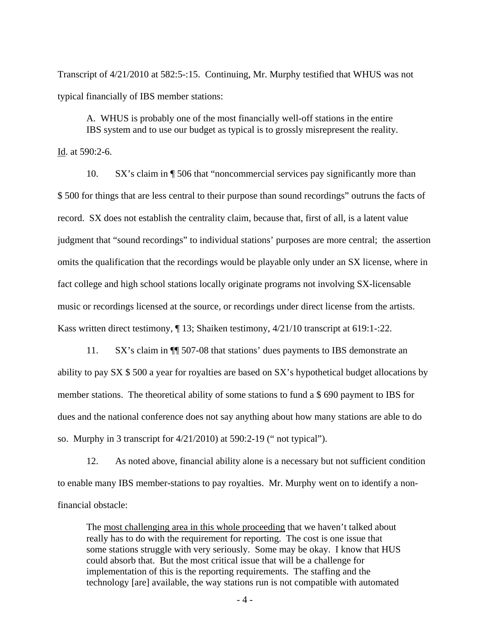Transcript of 4/21/2010 at 582:5-:15. Continuing, Mr. Murphy testified that WHUS was not typical financially of IBS member stations:

A. WHUS is probably one of the most financially well-off stations in the entire IBS system and to use our budget as typical is to grossly misrepresent the reality.

Id. at 590:2-6.

 10. SX's claim in ¶ 506 that "noncommercial services pay significantly more than \$ 500 for things that are less central to their purpose than sound recordings" outruns the facts of record. SX does not establish the centrality claim, because that, first of all, is a latent value judgment that "sound recordings" to individual stations' purposes are more central; the assertion omits the qualification that the recordings would be playable only under an SX license, where in fact college and high school stations locally originate programs not involving SX-licensable music or recordings licensed at the source, or recordings under direct license from the artists. Kass written direct testimony, ¶ 13; Shaiken testimony, 4/21/10 transcript at 619:1-:22.

11. SX's claim in ¶¶ 507-08 that stations' dues payments to IBS demonstrate an ability to pay SX \$ 500 a year for royalties are based on SX's hypothetical budget allocations by member stations. The theoretical ability of some stations to fund a \$ 690 payment to IBS for dues and the national conference does not say anything about how many stations are able to do so. Murphy in 3 transcript for 4/21/2010) at 590:2-19 (" not typical").

 12. As noted above, financial ability alone is a necessary but not sufficient condition to enable many IBS member-stations to pay royalties. Mr. Murphy went on to identify a nonfinancial obstacle:

The most challenging area in this whole proceeding that we haven't talked about really has to do with the requirement for reporting. The cost is one issue that some stations struggle with very seriously. Some may be okay. I know that HUS could absorb that. But the most critical issue that will be a challenge for implementation of this is the reporting requirements. The staffing and the technology [are] available, the way stations run is not compatible with automated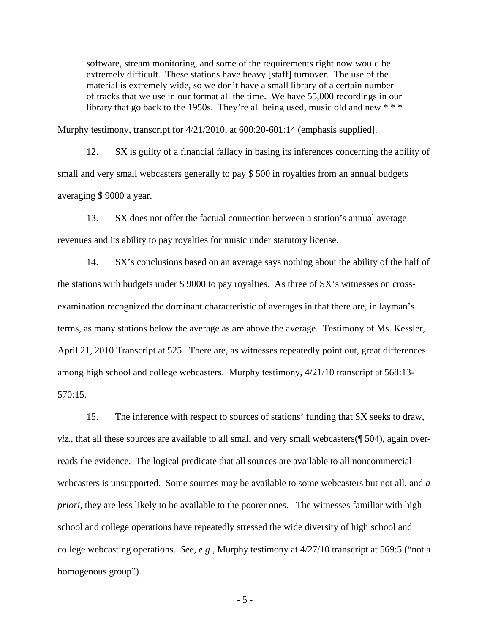software, stream monitoring, and some of the requirements right now would be extremely difficult. These stations have heavy [staff] turnover. The use of the material is extremely wide, so we don't have a small library of a certain number of tracks that we use in our format all the time. We have 55,000 recordings in our library that go back to the 1950s. They're all being used, music old and new  $***$ 

Murphy testimony, transcript for 4/21/2010, at 600:20-601:14 (emphasis supplied].

 12. SX is guilty of a financial fallacy in basing its inferences concerning the ability of small and very small webcasters generally to pay \$500 in royalties from an annual budgets averaging \$ 9000 a year.

13. SX does not offer the factual connection between a station's annual average revenues and its ability to pay royalties for music under statutory license.

14. SX's conclusions based on an average says nothing about the ability of the half of the stations with budgets under \$ 9000 to pay royalties. As three of SX's witnesses on crossexamination recognized the dominant characteristic of averages in that there are, in layman's terms, as many stations below the average as are above the average. Testimony of Ms. Kessler, April 21, 2010 Transcript at 525. There are, as witnesses repeatedly point out, great differences among high school and college webcasters. Murphy testimony, 4/21/10 transcript at 568:13- 570:15.

15. The inference with respect to sources of stations' funding that SX seeks to draw, *viz.*, that all these sources are available to all small and very small webcasters( $\parallel$  504), again overreads the evidence. The logical predicate that all sources are available to all noncommercial webcasters is unsupported. Some sources may be available to some webcasters but not all, and *a priori*, they are less likely to be available to the poorer ones. The witnesses familiar with high school and college operations have repeatedly stressed the wide diversity of high school and college webcasting operations. *See, e.g.,* Murphy testimony at 4/27/10 transcript at 569:5 ("not a homogenous group").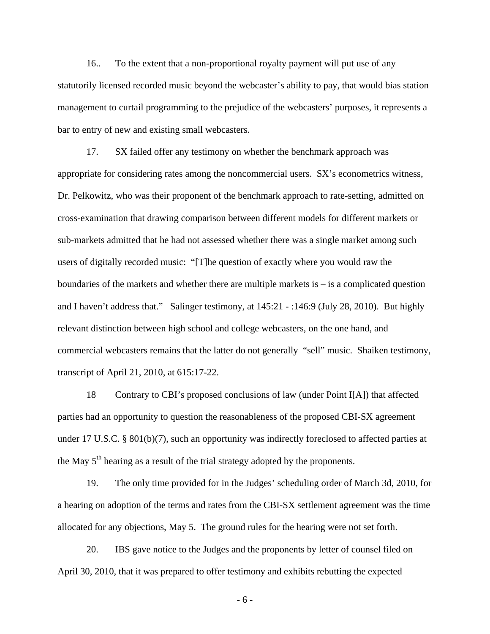16.. To the extent that a non-proportional royalty payment will put use of any statutorily licensed recorded music beyond the webcaster's ability to pay, that would bias station management to curtail programming to the prejudice of the webcasters' purposes, it represents a bar to entry of new and existing small webcasters.

17. SX failed offer any testimony on whether the benchmark approach was appropriate for considering rates among the noncommercial users. SX's econometrics witness, Dr. Pelkowitz, who was their proponent of the benchmark approach to rate-setting, admitted on cross-examination that drawing comparison between different models for different markets or sub-markets admitted that he had not assessed whether there was a single market among such users of digitally recorded music: "[T]he question of exactly where you would raw the boundaries of the markets and whether there are multiple markets is  $-$  is a complicated question and I haven't address that." Salinger testimony, at 145:21 - :146:9 (July 28, 2010). But highly relevant distinction between high school and college webcasters, on the one hand, and commercial webcasters remains that the latter do not generally "sell" music. Shaiken testimony, transcript of April 21, 2010, at 615:17-22.

18 Contrary to CBI's proposed conclusions of law (under Point I[A]) that affected parties had an opportunity to question the reasonableness of the proposed CBI-SX agreement under 17 U.S.C. § 801(b)(7), such an opportunity was indirectly foreclosed to affected parties at the May  $5<sup>th</sup>$  hearing as a result of the trial strategy adopted by the proponents.

19. The only time provided for in the Judges' scheduling order of March 3d, 2010, for a hearing on adoption of the terms and rates from the CBI-SX settlement agreement was the time allocated for any objections, May 5. The ground rules for the hearing were not set forth.

20. IBS gave notice to the Judges and the proponents by letter of counsel filed on April 30, 2010, that it was prepared to offer testimony and exhibits rebutting the expected

- 6 -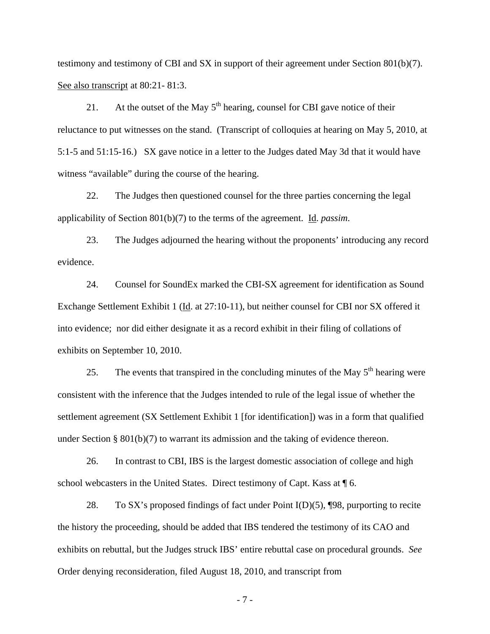testimony and testimony of CBI and SX in support of their agreement under Section 801(b)(7). See also transcript at 80:21 - 81:3.

21. At the outset of the May  $5<sup>th</sup>$  hearing, counsel for CBI gave notice of their reluctance to put witnesses on the stand. (Transcript of colloquies at hearing on May 5, 2010, at 5:1-5 and 51:15-16.) SX gave notice in a letter to the Judges dated May 3d that it would have witness "available" during the course of the hearing.

22. The Judges then questioned counsel for the three parties concerning the legal applicability of Section 801(b)(7) to the terms of the agreement. Id. *passim*.

23. The Judges adjourned the hearing without the proponents' introducing any record evidence.

24. Counsel for SoundEx marked the CBI-SX agreement for identification as Sound Exchange Settlement Exhibit 1 (Id. at 27:10-11), but neither counsel for CBI nor SX offered it into evidence; nor did either designate it as a record exhibit in their filing of collations of exhibits on September 10, 2010.

25. The events that transpired in the concluding minutes of the May  $5<sup>th</sup>$  hearing were consistent with the inference that the Judges intended to rule of the legal issue of whether the settlement agreement (SX Settlement Exhibit 1 [for identification]) was in a form that qualified under Section § 801(b)(7) to warrant its admission and the taking of evidence thereon.

26. In contrast to CBI, IBS is the largest domestic association of college and high school webcasters in the United States. Direct testimony of Capt. Kass at ¶ 6.

 28. To SX's proposed findings of fact under Point I(D)(5), ¶98, purporting to recite the history the proceeding, should be added that IBS tendered the testimony of its CAO and exhibits on rebuttal, but the Judges struck IBS' entire rebuttal case on procedural grounds. *See* Order denying reconsideration, filed August 18, 2010, and transcript from

- 7 -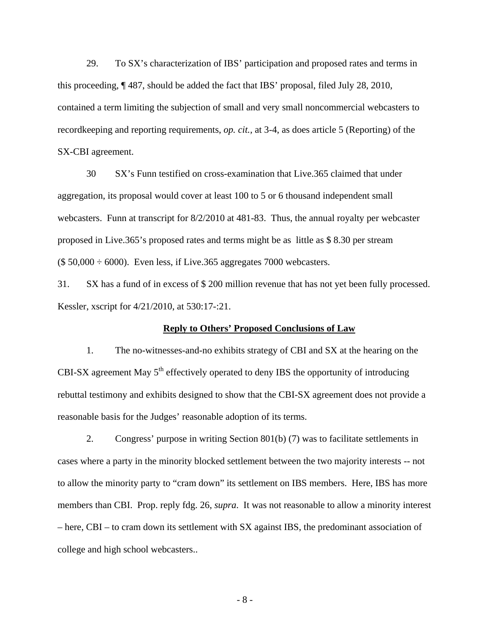29. To SX's characterization of IBS' participation and proposed rates and terms in this proceeding, ¶ 487, should be added the fact that IBS' proposal, filed July 28, 2010, contained a term limiting the subjection of small and very small noncommercial webcasters to recordkeeping and reporting requirements, *op. cit.,* at 3-4, as does article 5 (Reporting) of the SX-CBI agreement.

 30 SX's Funn testified on cross-examination that Live.365 claimed that under aggregation, its proposal would cover at least 100 to 5 or 6 thousand independent small webcasters. Funn at transcript for 8/2/2010 at 481-83. Thus, the annual royalty per webcaster proposed in Live.365's proposed rates and terms might be as little as \$ 8.30 per stream  $($ 50,000 \div 6000)$ . Even less, if Live.365 aggregates 7000 webcasters.

31. SX has a fund of in excess of \$ 200 million revenue that has not yet been fully processed. Kessler, xscript for 4/21/2010, at 530:17-:21.

### **Reply to Others' Proposed Conclusions of Law**

1. The no-witnesses-and-no exhibits strategy of CBI and SX at the hearing on the CBI-SX agreement May  $5<sup>th</sup>$  effectively operated to deny IBS the opportunity of introducing rebuttal testimony and exhibits designed to show that the CBI-SX agreement does not provide a reasonable basis for the Judges' reasonable adoption of its terms.

2. Congress' purpose in writing Section 801(b) (7) was to facilitate settlements in cases where a party in the minority blocked settlement between the two majority interests -- not to allow the minority party to "cram down" its settlement on IBS members. Here, IBS has more members than CBI. Prop. reply fdg. 26, *supra*. It was not reasonable to allow a minority interest – here, CBI – to cram down its settlement with SX against IBS, the predominant association of college and high school webcasters..

- 8 -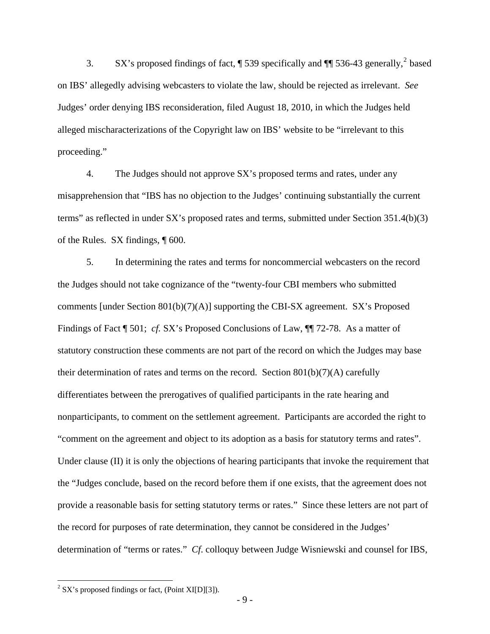3. SX's proposed findings of fact,  $\sqrt{ }$  539 specifically and  $\sqrt{ }$  536-43 generally,  $^{2}$  $^{2}$  $^{2}$  based on IBS' allegedly advising webcasters to violate the law, should be rejected as irrelevant. *See* Judges' order denying IBS reconsideration, filed August 18, 2010, in which the Judges held alleged mischaracterizations of the Copyright law on IBS' website to be "irrelevant to this proceeding."

 4. The Judges should not approve SX's proposed terms and rates, under any misapprehension that "IBS has no objection to the Judges' continuing substantially the current terms" as reflected in under SX's proposed rates and terms, submitted under Section 351.4(b)(3) of the Rules. SX findings, ¶ 600.

 5. In determining the rates and terms for noncommercial webcasters on the record the Judges should not take cognizance of the "twenty-four CBI members who submitted comments [under Section  $801(b)(7)(A)$ ] supporting the CBI-SX agreement. SX's Proposed Findings of Fact ¶ 501; *cf.* SX's Proposed Conclusions of Law, ¶ 72-78. As a matter of statutory construction these comments are not part of the record on which the Judges may base their determination of rates and terms on the record. Section  $801(b)(7)(A)$  carefully differentiates between the prerogatives of qualified participants in the rate hearing and nonparticipants, to comment on the settlement agreement. Participants are accorded the right to "comment on the agreement and object to its adoption as a basis for statutory terms and rates". Under clause (II) it is only the objections of hearing participants that invoke the requirement that the "Judges conclude, based on the record before them if one exists, that the agreement does not provide a reasonable basis for setting statutory terms or rates." Since these letters are not part of the record for purposes of rate determination, they cannot be considered in the Judges' determination of "terms or rates." *Cf*. colloquy between Judge Wisniewski and counsel for IBS,

 $\overline{a}$ 

<span id="page-8-0"></span> $2$  SX's proposed findings or fact, (Point XI[D][3]).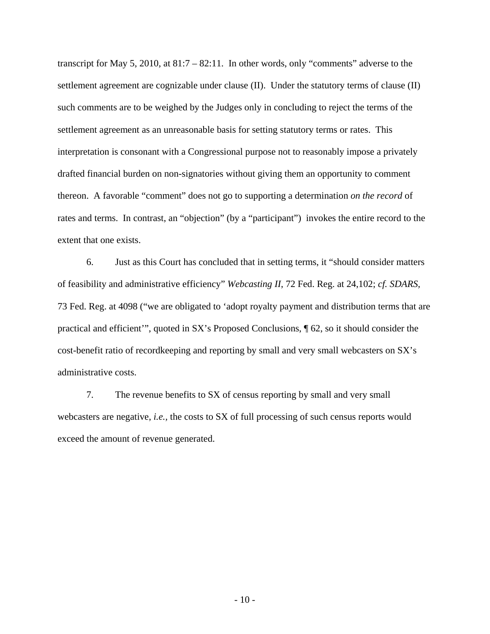transcript for May 5, 2010, at 81:7 – 82:11. In other words, only "comments" adverse to the settlement agreement are cognizable under clause (II). Under the statutory terms of clause (II) such comments are to be weighed by the Judges only in concluding to reject the terms of the settlement agreement as an unreasonable basis for setting statutory terms or rates. This interpretation is consonant with a Congressional purpose not to reasonably impose a privately drafted financial burden on non-signatories without giving them an opportunity to comment thereon. A favorable "comment" does not go to supporting a determination *on the record* of rates and terms. In contrast, an "objection" (by a "participant") invokes the entire record to the extent that one exists.

 6. Just as this Court has concluded that in setting terms, it "should consider matters of feasibility and administrative efficiency" *Webcasting II*, 72 Fed. Reg. at 24,102; *cf. SDARS,* 73 Fed. Reg. at 4098 ("we are obligated to 'adopt royalty payment and distribution terms that are practical and efficient'", quoted in SX's Proposed Conclusions, ¶ 62, so it should consider the cost-benefit ratio of recordkeeping and reporting by small and very small webcasters on SX's administrative costs.

 7. The revenue benefits to SX of census reporting by small and very small webcasters are negative, *i.e.,* the costs to SX of full processing of such census reports would exceed the amount of revenue generated.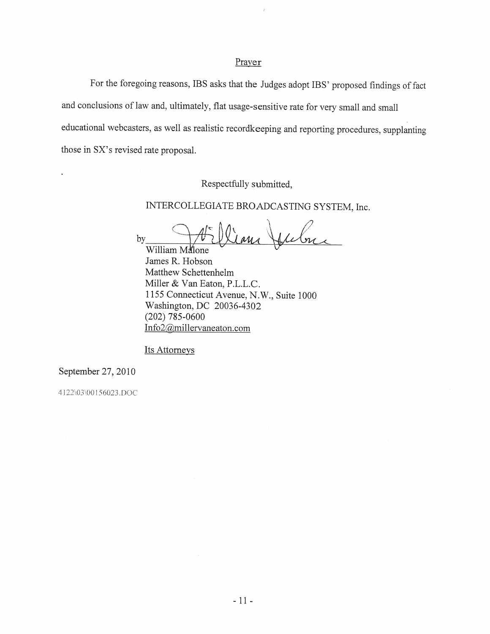### Prayer

For the foregoing reasons, IBS asks that the Judges adopt IBS' proposed findings of fact and conclusions of law and, ultimately, flat usage-sensitive rate for very small and small educational webcasters, as well as realistic recordkeeping and reporting procedures, supplanting those in SX's revised rate proposal.

Respectfully submitted,

INTERCOLLEGIATE BROADCASTING SYSTEM, Inc.

by William Malone

James R. Hobson Matthew Schettenhelm Miller & Van Eaton, P.L.L.C. 1155 Connecticut Avenue, N.W., Suite 1000 Washington, DC 20036-4302  $(202)$  785-0600 Info2@millervaneaton.com

Its Attorneys

September 27, 2010

4122\03\00156023.DOC